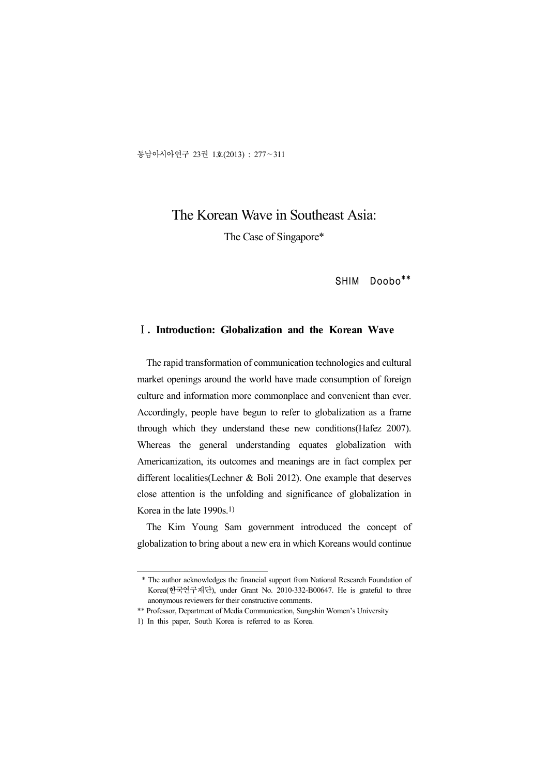동남아시아연구 23권 1호(2013) : 277~311

## The Korean Wave in Southeast Asia:

The Case of Singapore\*

SHIM Doobo\*\*

## Ⅰ**. Introduction: Globalization and the Korean Wave**

The rapid transformation of communication technologies and cultural market openings around the world have made consumption of foreign culture and information more commonplace and convenient than ever. Accordingly, people have begun to refer to globalization as a frame through which they understand these new conditions(Hafez 2007). Whereas the general understanding equates globalization with Americanization, its outcomes and meanings are in fact complex per different localities(Lechner & Boli 2012). One example that deserves close attention is the unfolding and significance of globalization in Korea in the late 1990s.1)

The Kim Young Sam government introduced the concept of globalization to bring about a new era in which Koreans would continue

<sup>\*</sup> The author acknowledges the financial support from National Research Foundation of Korea(한국연구재단), under Grant No. 2010-332-B00647. He is grateful to three anonymous reviewers for their constructive comments.

<sup>\*\*</sup> Professor, Department of Media Communication, Sungshin Women's University

<sup>1)</sup> In this paper, South Korea is referred to as Korea.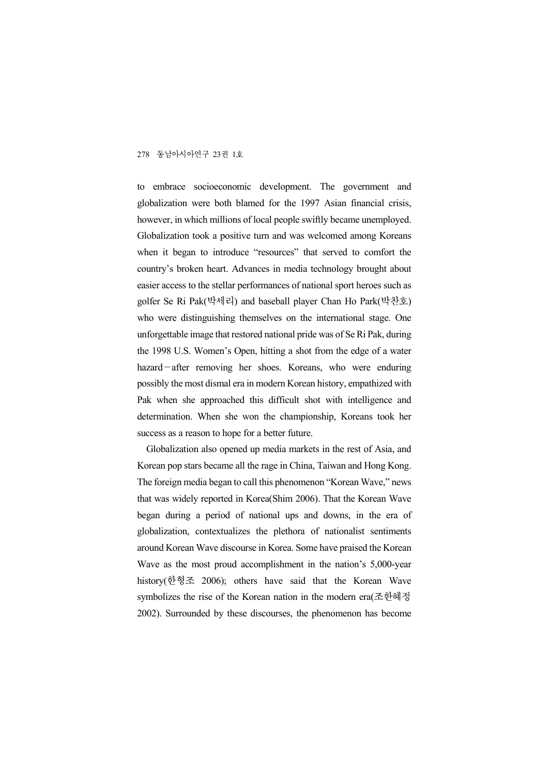to embrace socioeconomic development. The government and globalization were both blamed for the 1997 Asian financial crisis, however, in which millions of local people swiftly became unemployed. Globalization took a positive turn and was welcomed among Koreans when it began to introduce "resources" that served to comfort the country's broken heart. Advances in media technology brought about easier access to the stellar performances of national sport heroes such as golfer Se Ri Pak(박세리) and baseball player Chan Ho Park(박찬호) who were distinguishing themselves on the international stage. One unforgettable image that restored national pride was of Se Ri Pak, during the 1998 U.S. Women's Open, hitting a shot from the edge of a water hazard—after removing her shoes. Koreans, who were enduring possibly the most dismal era in modern Korean history, empathized with Pak when she approached this difficult shot with intelligence and determination. When she won the championship, Koreans took her success as a reason to hope for a better future.

Globalization also opened up media markets in the rest of Asia, and Korean pop stars became all the rage in China, Taiwan and Hong Kong. The foreign media began to call this phenomenon "Korean Wave," news that was widely reported in Korea(Shim 2006). That the Korean Wave began during a period of national ups and downs, in the era of globalization, contextualizes the plethora of nationalist sentiments around Korean Wave discourse in Korea. Some have praised the Korean Wave as the most proud accomplishment in the nation's 5,000-year history(한형조 2006); others have said that the Korean Wave symbolizes the rise of the Korean nation in the modern era(조한혜정 2002). Surrounded by these discourses, the phenomenon has become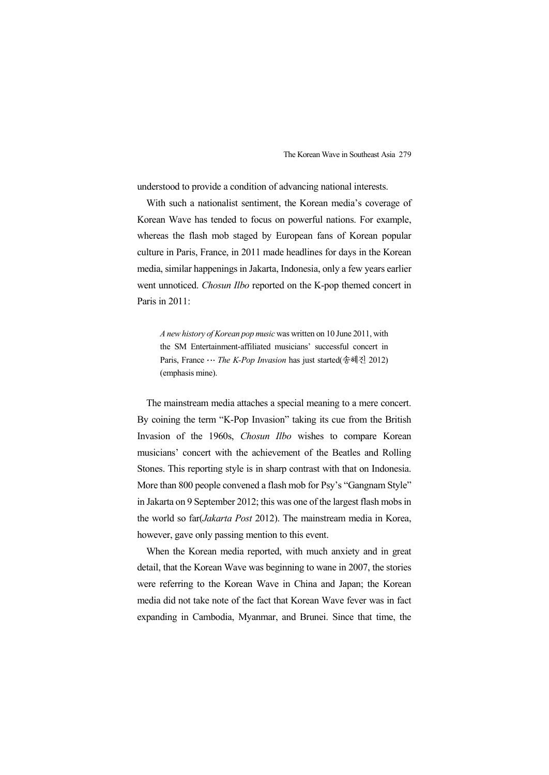understood to provide a condition of advancing national interests.

With such a nationalist sentiment, the Korean media's coverage of Korean Wave has tended to focus on powerful nations. For example, whereas the flash mob staged by European fans of Korean popular culture in Paris, France, in 2011 made headlines for days in the Korean media, similar happenings in Jakarta, Indonesia, only a few years earlier went unnoticed. *Chosun Ilbo* reported on the K-pop themed concert in Paris in 2011:

*A new history of Korean pop music* was written on 10 June 2011, with the SM Entertainment-affiliated musicians' successful concert in Paris, France *The K-Pop Invasion* has just started(송혜진 2012) (emphasis mine).

The mainstream media attaches a special meaning to a mere concert. By coining the term "K-Pop Invasion" taking its cue from the British Invasion of the 1960s, *Chosun Ilbo* wishes to compare Korean musicians' concert with the achievement of the Beatles and Rolling Stones. This reporting style is in sharp contrast with that on Indonesia. More than 800 people convened a flash mob for Psy's "Gangnam Style" in Jakarta on 9 September 2012; this was one of the largest flash mobs in the world so far(*Jakarta Post* 2012). The mainstream media in Korea, however, gave only passing mention to this event.

When the Korean media reported, with much anxiety and in great detail, that the Korean Wave was beginning to wane in 2007, the stories were referring to the Korean Wave in China and Japan; the Korean media did not take note of the fact that Korean Wave fever was in fact expanding in Cambodia, Myanmar, and Brunei. Since that time, the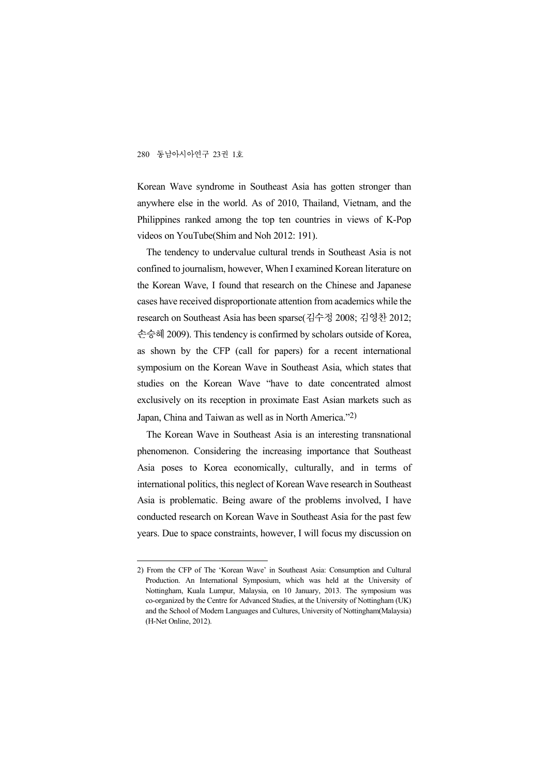Korean Wave syndrome in Southeast Asia has gotten stronger than anywhere else in the world. As of 2010, Thailand, Vietnam, and the Philippines ranked among the top ten countries in views of K-Pop videos on YouTube(Shim and Noh 2012: 191).

The tendency to undervalue cultural trends in Southeast Asia is not confined to journalism, however, When I examined Korean literature on the Korean Wave, I found that research on the Chinese and Japanese cases have received disproportionate attention from academics while the research on Southeast Asia has been sparse(김수정 2008; 김영찬2012; 손승혜2009). This tendency is confirmed by scholars outside of Korea, as shown by the CFP (call for papers) for a recent international symposium on the Korean Wave in Southeast Asia, which states that studies on the Korean Wave "have to date concentrated almost exclusively on its reception in proximate East Asian markets such as Japan, China and Taiwan as well as in North America." 2)

The Korean Wave in Southeast Asia is an interesting transnational phenomenon. Considering the increasing importance that Southeast Asia poses to Korea economically, culturally, and in terms of international politics, this neglect of Korean Wave research in Southeast Asia is problematic. Being aware of the problems involved, I have conducted research on Korean Wave in Southeast Asia for the past few years. Due to space constraints, however, I will focus my discussion on

<sup>2)</sup> From the CFP of The 'Korean Wave' in Southeast Asia: Consumption and Cultural Production. An International Symposium, which was held at the University of Nottingham, Kuala Lumpur, Malaysia, on 10 January, 2013. The symposium was co-organized by the Centre for Advanced Studies, at the University of Nottingham (UK) and the School of Modern Languages and Cultures, University of Nottingham(Malaysia) (H-Net Online, 2012).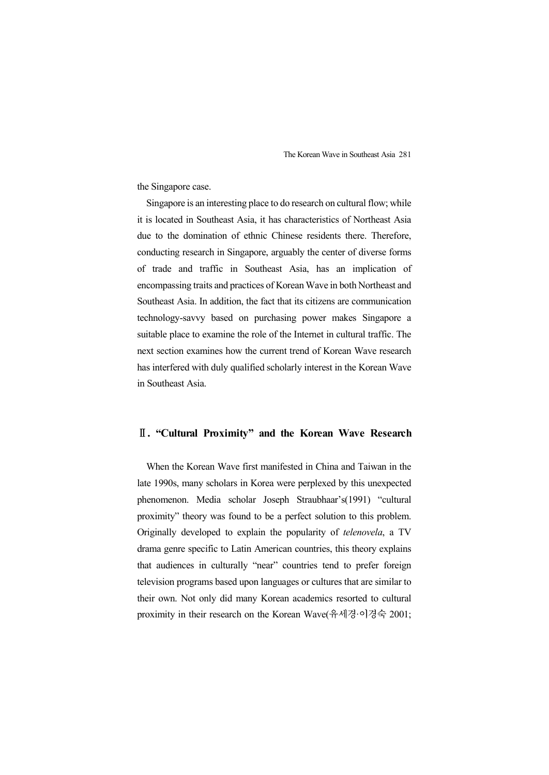the Singapore case.

Singapore is an interesting place to do research on cultural flow; while it is located in Southeast Asia, it has characteristics of Northeast Asia due to the domination of ethnic Chinese residents there. Therefore, conducting research in Singapore, arguably the center of diverse forms of trade and traffic in Southeast Asia, has an implication of encompassing traits and practices of Korean Wave in both Northeast and Southeast Asia. In addition, the fact that its citizens are communication technology-savvy based on purchasing power makes Singapore a suitable place to examine the role of the Internet in cultural traffic. The next section examines how the current trend of Korean Wave research has interfered with duly qualified scholarly interest in the Korean Wave in Southeast Asia.

## Ⅱ**. "Cultural Proximity" and the Korean Wave Research**

When the Korean Wave first manifested in China and Taiwan in the late 1990s, many scholars in Korea were perplexed by this unexpected phenomenon. Media scholar Joseph Straubhaar's(1991) "cultural proximity" theory was found to be a perfect solution to this problem. Originally developed to explain the popularity of *telenovela*, a TV drama genre specific to Latin American countries, this theory explains that audiences in culturally "near" countries tend to prefer foreign television programs based upon languages or cultures that are similar to their own. Not only did many Korean academics resorted to cultural proximity in their research on the Korean Wave(유세경·이경숙 2001;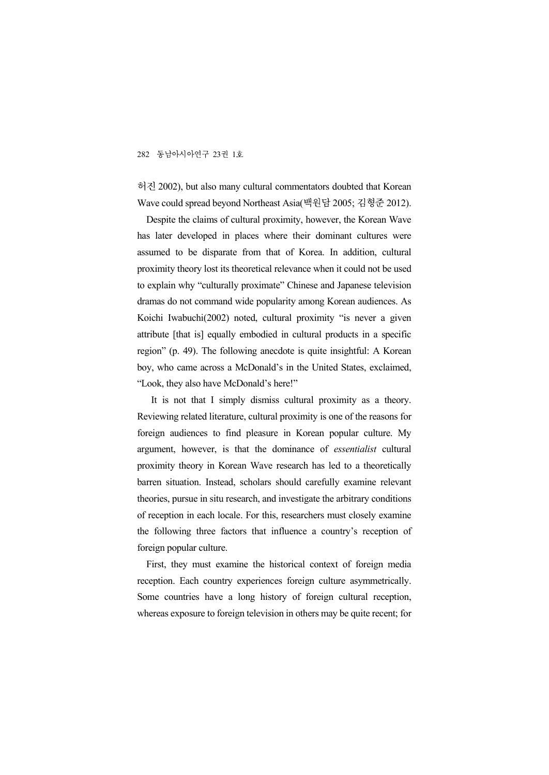허진 2002), but also many cultural commentators doubted that Korean Wave could spread beyond Northeast Asia(백원담2005; 김형준2012).

Despite the claims of cultural proximity, however, the Korean Wave has later developed in places where their dominant cultures were assumed to be disparate from that of Korea. In addition, cultural proximity theory lost its theoretical relevance when it could not be used to explain why "culturally proximate" Chinese and Japanese television dramas do not command wide popularity among Korean audiences. As Koichi Iwabuchi(2002) noted, cultural proximity "is never a given attribute [that is] equally embodied in cultural products in a specific region" (p. 49). The following anecdote is quite insightful: A Korean boy, who came across a McDonald's in the United States, exclaimed, "Look, they also have McDonald's here!"

 It is not that I simply dismiss cultural proximity as a theory. Reviewing related literature, cultural proximity is one of the reasons for foreign audiences to find pleasure in Korean popular culture. My argument, however, is that the dominance of *essentialist* cultural proximity theory in Korean Wave research has led to a theoretically barren situation. Instead, scholars should carefully examine relevant theories, pursue in situ research, and investigate the arbitrary conditions of reception in each locale. For this, researchers must closely examine the following three factors that influence a country's reception of foreign popular culture.

First, they must examine the historical context of foreign media reception. Each country experiences foreign culture asymmetrically. Some countries have a long history of foreign cultural reception, whereas exposure to foreign television in others may be quite recent; for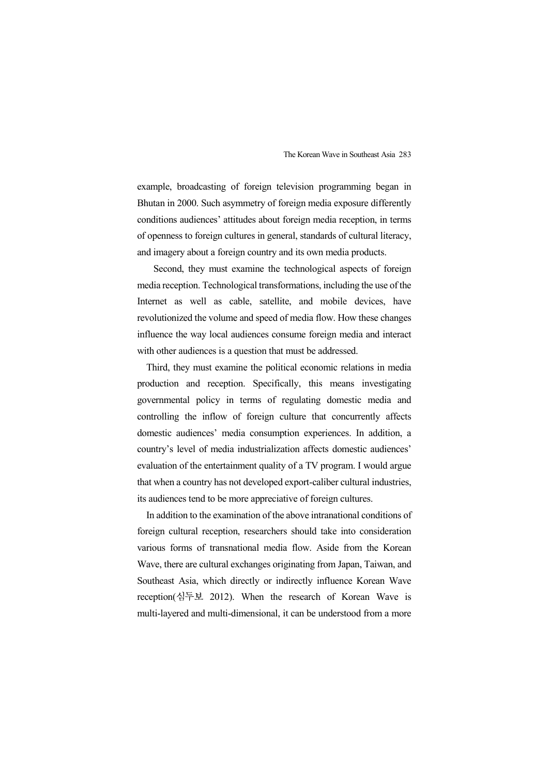example, broadcasting of foreign television programming began in Bhutan in 2000. Such asymmetry of foreign media exposure differently conditions audiences' attitudes about foreign media reception, in terms of openness to foreign cultures in general, standards of cultural literacy, and imagery about a foreign country and its own media products.

 Second, they must examine the technological aspects of foreign media reception. Technological transformations, including the use of the Internet as well as cable, satellite, and mobile devices, have revolutionized the volume and speed of media flow. How these changes influence the way local audiences consume foreign media and interact with other audiences is a question that must be addressed.

Third, they must examine the political economic relations in media production and reception. Specifically, this means investigating governmental policy in terms of regulating domestic media and controlling the inflow of foreign culture that concurrently affects domestic audiences' media consumption experiences. In addition, a country's level of media industrialization affects domestic audiences' evaluation of the entertainment quality of a TV program. I would argue that when a country has not developed export-caliber cultural industries, its audiences tend to be more appreciative of foreign cultures.

In addition to the examination of the above intranational conditions of foreign cultural reception, researchers should take into consideration various forms of transnational media flow. Aside from the Korean Wave, there are cultural exchanges originating from Japan, Taiwan, and Southeast Asia, which directly or indirectly influence Korean Wave reception(심두보 2012). When the research of Korean Wave is multi-layered and multi-dimensional, it can be understood from a more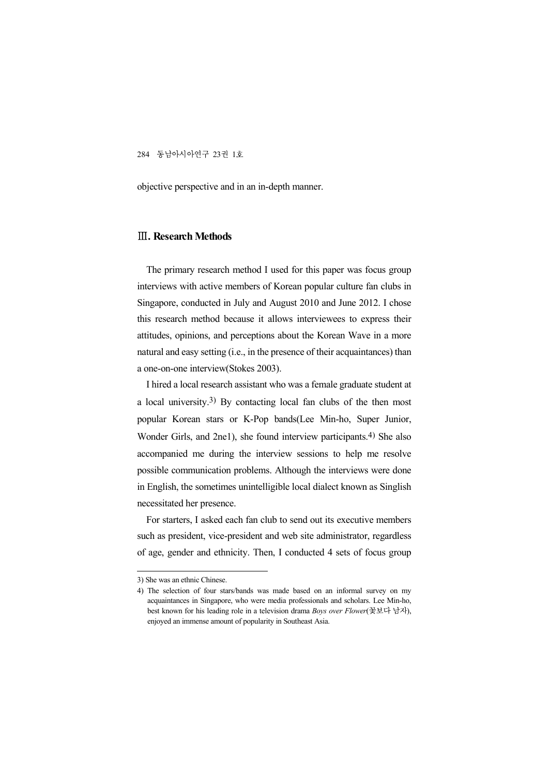objective perspective and in an in-depth manner.

## Ⅲ**. Research Methods**

The primary research method I used for this paper was focus group interviews with active members of Korean popular culture fan clubs in Singapore, conducted in July and August 2010 and June 2012. I chose this research method because it allows interviewees to express their attitudes, opinions, and perceptions about the Korean Wave in a more natural and easy setting (i.e., in the presence of their acquaintances) than a one-on-one interview(Stokes 2003).

I hired a local research assistant who was a female graduate student at a local university.3) By contacting local fan clubs of the then most popular Korean stars or K-Pop bands(Lee Min-ho, Super Junior, Wonder Girls, and 2ne1), she found interview participants.4) She also accompanied me during the interview sessions to help me resolve possible communication problems. Although the interviews were done in English, the sometimes unintelligible local dialect known as Singlish necessitated her presence.

For starters, I asked each fan club to send out its executive members such as president, vice-president and web site administrator, regardless of age, gender and ethnicity. Then, I conducted 4 sets of focus group

<sup>3)</sup> She was an ethnic Chinese.

<sup>4)</sup> The selection of four stars/bands was made based on an informal survey on my acquaintances in Singapore, who were media professionals and scholars. Lee Min-ho, best known for his leading role in a television drama *Boys over Flower*(꽃보다 남자), enjoyed an immense amount of popularity in Southeast Asia.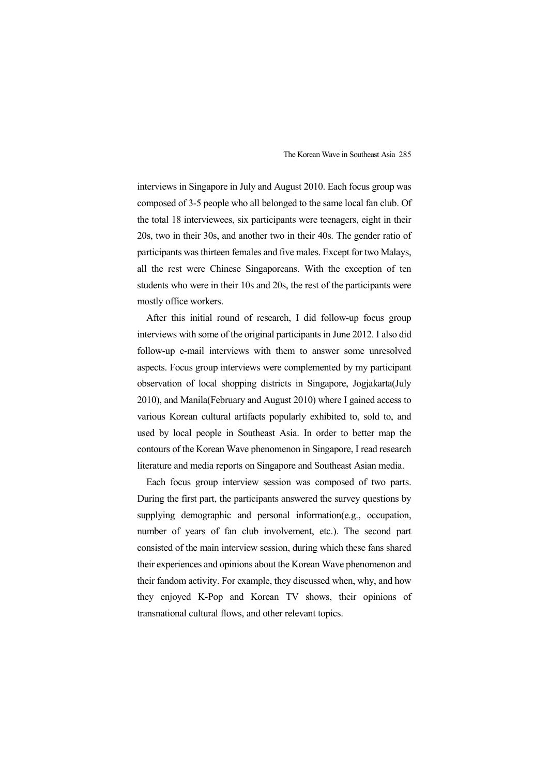interviews in Singapore in July and August 2010. Each focus group was composed of 3-5 people who all belonged to the same local fan club. Of the total 18 interviewees, six participants were teenagers, eight in their 20s, two in their 30s, and another two in their 40s. The gender ratio of participants was thirteen females and five males. Except for two Malays, all the rest were Chinese Singaporeans. With the exception of ten students who were in their 10s and 20s, the rest of the participants were mostly office workers.

After this initial round of research, I did follow-up focus group interviews with some of the original participants in June 2012. I also did follow-up e-mail interviews with them to answer some unresolved aspects. Focus group interviews were complemented by my participant observation of local shopping districts in Singapore, Jogjakarta(July 2010), and Manila(February and August 2010) where I gained access to various Korean cultural artifacts popularly exhibited to, sold to, and used by local people in Southeast Asia. In order to better map the contours of the Korean Wave phenomenon in Singapore, I read research literature and media reports on Singapore and Southeast Asian media.

Each focus group interview session was composed of two parts. During the first part, the participants answered the survey questions by supplying demographic and personal information(e.g., occupation, number of years of fan club involvement, etc.). The second part consisted of the main interview session, during which these fans shared their experiences and opinions about the Korean Wave phenomenon and their fandom activity. For example, they discussed when, why, and how they enjoyed K-Pop and Korean TV shows, their opinions of transnational cultural flows, and other relevant topics.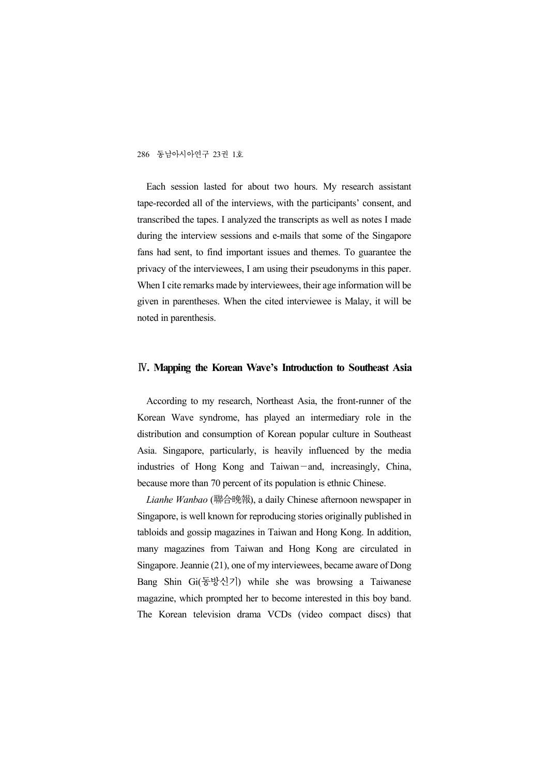Each session lasted for about two hours. My research assistant tape-recorded all of the interviews, with the participants' consent, and transcribed the tapes. I analyzed the transcripts as well as notes I made during the interview sessions and e-mails that some of the Singapore fans had sent, to find important issues and themes. To guarantee the privacy of the interviewees, I am using their pseudonyms in this paper. When I cite remarks made by interviewees, their age information will be given in parentheses. When the cited interviewee is Malay, it will be noted in parenthesis.

### Ⅳ**. Mapping the Korean Wave's Introduction to Southeast Asia**

According to my research, Northeast Asia, the front-runner of the Korean Wave syndrome, has played an intermediary role in the distribution and consumption of Korean popular culture in Southeast Asia. Singapore, particularly, is heavily influenced by the media industries of Hong Kong and Taiwan—and, increasingly, China, because more than 70 percent of its population is ethnic Chinese.

*Lianhe Wanbao* (聯合晩報), a daily Chinese afternoon newspaper in Singapore, is well known for reproducing stories originally published in tabloids and gossip magazines in Taiwan and Hong Kong. In addition, many magazines from Taiwan and Hong Kong are circulated in Singapore. Jeannie (21), one of my interviewees, became aware of Dong Bang Shin Gi(동방신기) while she was browsing a Taiwanese magazine, which prompted her to become interested in this boy band. The Korean television drama VCDs (video compact discs) that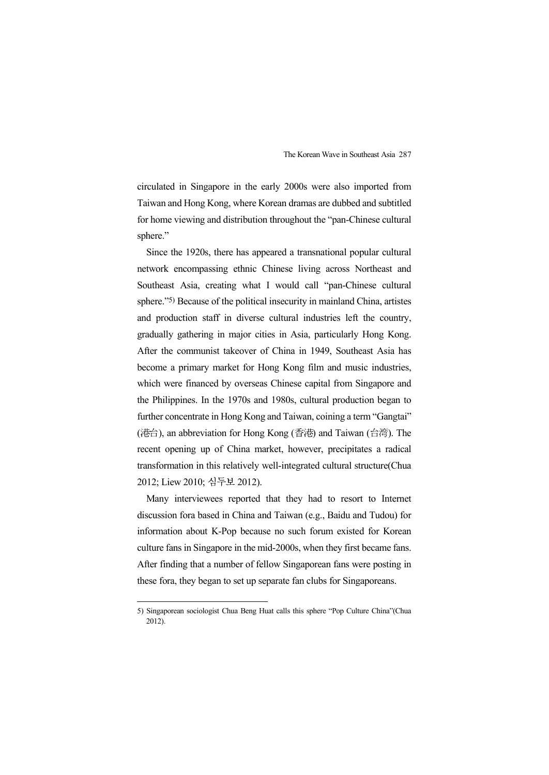circulated in Singapore in the early 2000s were also imported from Taiwan and Hong Kong, where Korean dramas are dubbed and subtitled for home viewing and distribution throughout the "pan-Chinese cultural sphere."

Since the 1920s, there has appeared a transnational popular cultural network encompassing ethnic Chinese living across Northeast and Southeast Asia, creating what I would call "pan-Chinese cultural sphere."5) Because of the political insecurity in mainland China, artistes and production staff in diverse cultural industries left the country, gradually gathering in major cities in Asia, particularly Hong Kong. After the communist takeover of China in 1949, Southeast Asia has become a primary market for Hong Kong film and music industries, which were financed by overseas Chinese capital from Singapore and the Philippines. In the 1970s and 1980s, cultural production began to further concentrate in Hong Kong and Taiwan, coining a term "Gangtai" (港台), an abbreviation for Hong Kong (香港) and Taiwan (台湾). The recent opening up of China market, however, precipitates a radical transformation in this relatively well-integrated cultural structure(Chua 2012; Liew 2010; 심두보 2012).

Many interviewees reported that they had to resort to Internet discussion fora based in China and Taiwan (e.g., Baidu and Tudou) for information about K-Pop because no such forum existed for Korean culture fans in Singapore in the mid-2000s, when they first became fans. After finding that a number of fellow Singaporean fans were posting in these fora, they began to set up separate fan clubs for Singaporeans.

<sup>5)</sup> Singaporean sociologist Chua Beng Huat calls this sphere "Pop Culture China"(Chua 2012).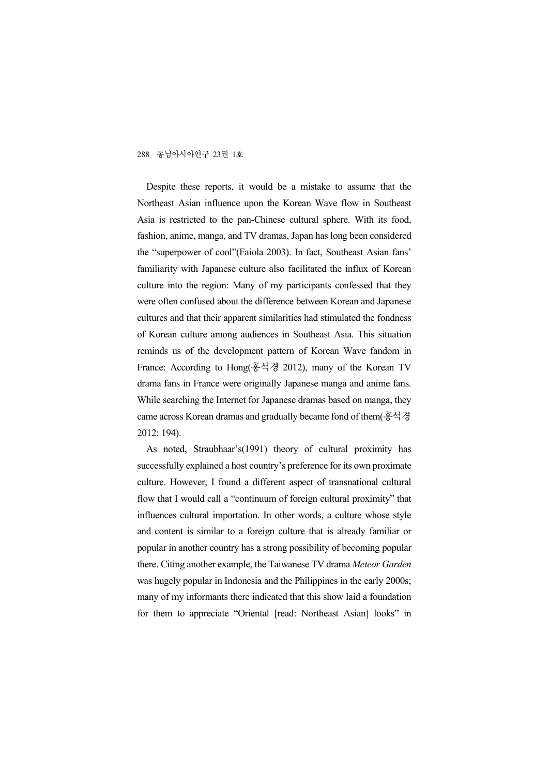Despite these reports, it would be a mistake to assume that the Northeast Asian influence upon the Korean Wave flow in Southeast Asia is restricted to the pan-Chinese cultural sphere. With its food, fashion, anime, manga, and TV dramas, Japan has long been considered the "superpower of cool"(Faiola 2003). In fact, Southeast Asian fans' familiarity with Japanese culture also facilitated the influx of Korean culture into the region: Many of my participants confessed that they were often confused about the difference between Korean and Japanese cultures and that their apparent similarities had stimulated the fondness of Korean culture among audiences in Southeast Asia. This situation reminds us of the development pattern of Korean Wave fandom in France: According to Hong(홍석경 2012), many of the Korean TV drama fans in France were originally Japanese manga and anime fans. While searching the Internet for Japanese dramas based on manga, they came across Korean dramas and gradually became fond of them(홍석경 2012: 194).

As noted, Straubhaar's(1991) theory of cultural proximity has successfully explained a host country's preference for its own proximate culture. However, I found a different aspect of transnational cultural flow that I would call a "continuum of foreign cultural proximity" that influences cultural importation. In other words, a culture whose style and content is similar to a foreign culture that is already familiar or popular in another country has a strong possibility of becoming popular there. Citing another example, the Taiwanese TV drama *Meteor Garden* was hugely popular in Indonesia and the Philippines in the early 2000s; many of my informants there indicated that this show laid a foundation for them to appreciate "Oriental [read: Northeast Asian] looks" in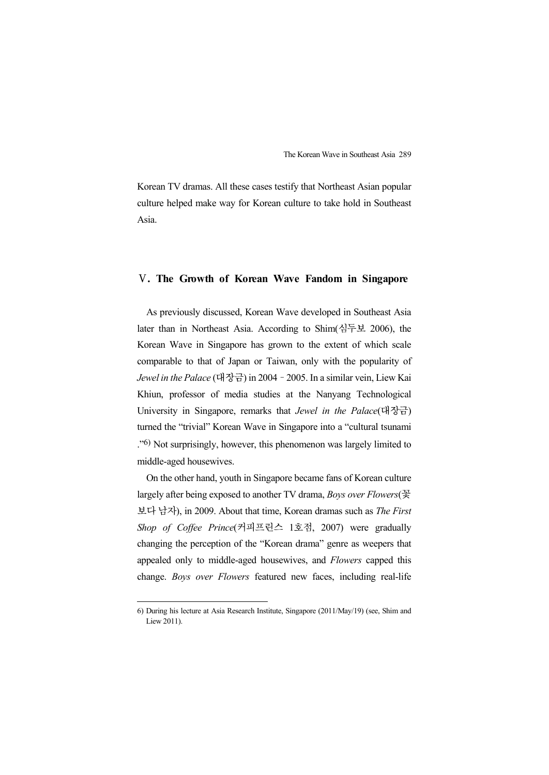Korean TV dramas. All these cases testify that Northeast Asian popular culture helped make way for Korean culture to take hold in Southeast Asia.

## Ⅴ**. The Growth of Korean Wave Fandom in Singapore**

As previously discussed, Korean Wave developed in Southeast Asia later than in Northeast Asia. According to Shim(심두보 2006), the Korean Wave in Singapore has grown to the extent of which scale comparable to that of Japan or Taiwan, only with the popularity of *Jewel in the Palace* (대장금) in 2004–2005. In a similar vein, Liew Kai Khiun, professor of media studies at the Nanyang Technological University in Singapore, remarks that *Jewel in the Palace*(대장금) turned the "trivial" Korean Wave in Singapore into a "cultural tsunami ." 6) Not surprisingly, however, this phenomenon was largely limited to middle-aged housewives.

On the other hand, youth in Singapore became fans of Korean culture largely after being exposed to another TV drama, *Boys over Flowers*(꽃 보다 남자), in 2009. About that time, Korean dramas such as *The First Shop of Coffee Prince*(커피프린스 1호점, 2007) were gradually changing the perception of the "Korean drama" genre as weepers that appealed only to middle-aged housewives, and *Flowers* capped this change. *Boys over Flowers* featured new faces, including real-life

<sup>6)</sup> During his lecture at Asia Research Institute, Singapore (2011/May/19) (see, Shim and Liew 2011).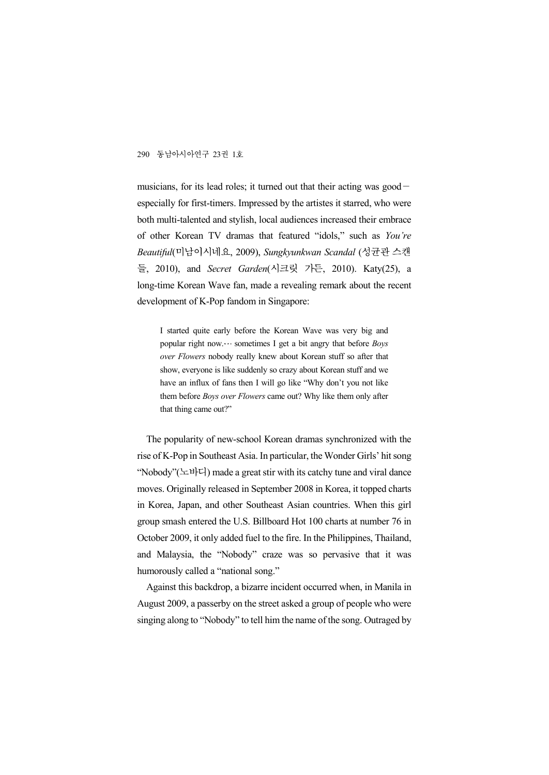musicians, for its lead roles; it turned out that their acting was good especially for first-timers. Impressed by the artistes it starred, who were both multi-talented and stylish, local audiences increased their embrace of other Korean TV dramas that featured "idols," such as *You're Beautiful*(미남이시네요, 2009), *Sungkyunkwan Scandal* (성균관 스캔 들, 2010), and *Secret Garden*(시크릿 가든, 2010). Katy(25), a long-time Korean Wave fan, made a revealing remark about the recent development of K-Pop fandom in Singapore:

I started quite early before the Korean Wave was very big and popular right now. sometimes I get a bit angry that before *Boys over Flowers* nobody really knew about Korean stuff so after that show, everyone is like suddenly so crazy about Korean stuff and we have an influx of fans then I will go like "Why don't you not like them before *Boys over Flowers* came out? Why like them only after that thing came out?"

The popularity of new-school Korean dramas synchronized with the rise of K-Pop in Southeast Asia. In particular, the Wonder Girls' hit song<br>"Nobody"(노바디) made a great stir with its catchy tune and viral dance moves. Originally released in September 2008 in Korea, it topped charts in Korea, Japan, and other Southeast Asian countries. When this girl group smash entered the U.S. Billboard Hot 100 charts at number 76 in October 2009, it only added fuel to the fire. In the Philippines, Thailand, and Malaysia, the "Nobody" craze was so pervasive that it was humorously called a "national song."

Against this backdrop, a bizarre incident occurred when, in Manila in August 2009, a passerby on the street asked a group of people who were singing along to "Nobody" to tell him the name of the song. Outraged by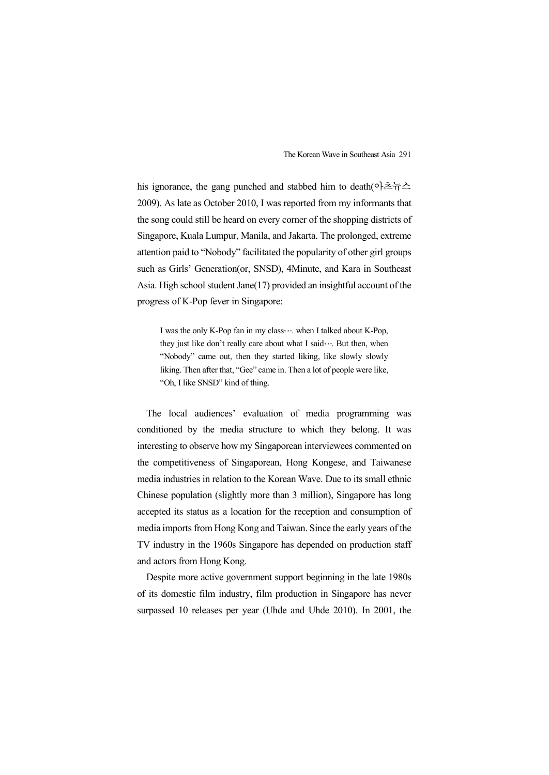his ignorance, the gang punched and stabbed him to death(아츠뉴스 2009). As late as October 2010, I was reported from my informants that the song could still be heard on every corner of the shopping districts of Singapore, Kuala Lumpur, Manila, and Jakarta. The prolonged, extreme attention paid to "Nobody" facilitated the popularity of other girl groups such as Girls' Generation(or, SNSD), 4Minute, and Kara in Southeast Asia. High school student Jane(17) provided an insightful account of the progress of K-Pop fever in Singapore:

I was the only K-Pop fan in my class $\cdots$  when I talked about K-Pop, they just like don't really care about what I said  $\cdots$ . But then, when "Nobody" came out, then they started liking, like slowly slowly liking. Then after that, "Gee" came in. Then a lot of people were like, "Oh, I like SNSD" kind of thing.

The local audiences' evaluation of media programming was conditioned by the media structure to which they belong. It was interesting to observe how my Singaporean interviewees commented on the competitiveness of Singaporean, Hong Kongese, and Taiwanese media industries in relation to the Korean Wave. Due to its small ethnic Chinese population (slightly more than 3 million), Singapore has long accepted its status as a location for the reception and consumption of media imports from Hong Kong and Taiwan. Since the early years of the TV industry in the 1960s Singapore has depended on production staff and actors from Hong Kong.

Despite more active government support beginning in the late 1980s of its domestic film industry, film production in Singapore has never surpassed 10 releases per year (Uhde and Uhde 2010). In 2001, the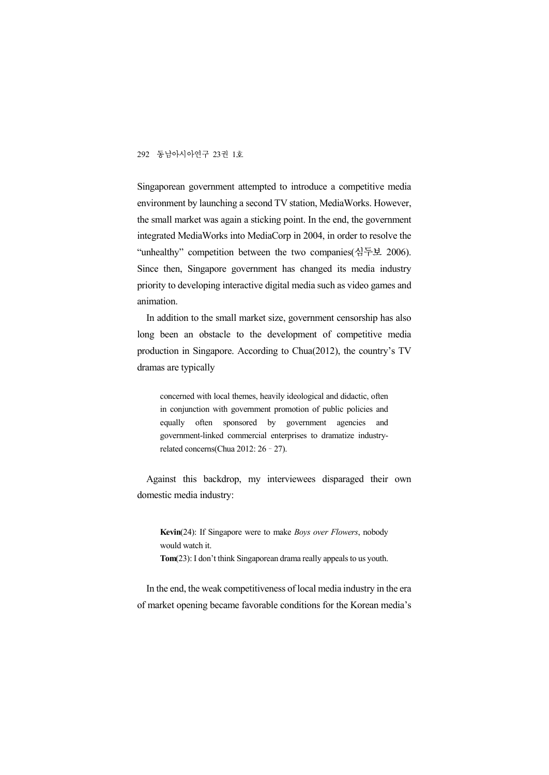Singaporean government attempted to introduce a competitive media environment by launching a second TV station, MediaWorks. However, the small market was again a sticking point. In the end, the government integrated MediaWorks into MediaCorp in 2004, in order to resolve the "unhealthy" competition between the two companies(심두보 2006). Since then, Singapore government has changed its media industry priority to developing interactive digital media such as video games and animation.

In addition to the small market size, government censorship has also long been an obstacle to the development of competitive media production in Singapore. According to Chua(2012), the country's TV dramas are typically

concerned with local themes, heavily ideological and didactic, often in conjunction with government promotion of public policies and equally often sponsored by government agencies and government-linked commercial enterprises to dramatize industryrelated concerns(Chua 2012: 26–27).

Against this backdrop, my interviewees disparaged their own domestic media industry:

**Kevin**(24): If Singapore were to make *Boys over Flowers*, nobody would watch it.

**Tom**(23): I don't think Singaporean drama really appeals to us youth.

In the end, the weak competitiveness of local media industry in the era of market opening became favorable conditions for the Korean media's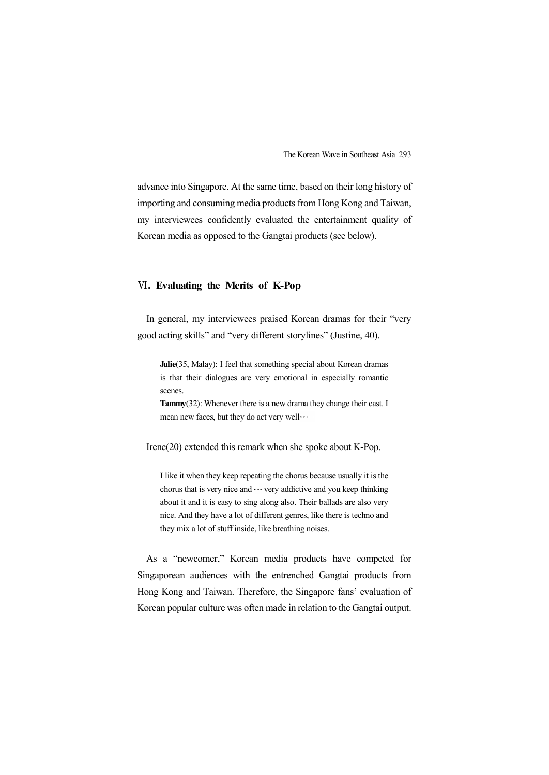advance into Singapore. At the same time, based on their long history of importing and consuming media products from Hong Kong and Taiwan, my interviewees confidently evaluated the entertainment quality of Korean media as opposed to the Gangtai products (see below).

## Ⅵ**. Evaluating the Merits of K-Pop**

In general, my interviewees praised Korean dramas for their "very good acting skills" and "very different storylines" (Justine, 40).

**Julie**(35, Malay): I feel that something special about Korean dramas is that their dialogues are very emotional in especially romantic scenes.

Tammy(32): Whenever there is a new drama they change their cast. I mean new faces, but they do act very well

Irene(20) extended this remark when she spoke about K-Pop.

I like it when they keep repeating the chorus because usually it is the chorus that is very nice and  $\cdots$  very addictive and you keep thinking about it and it is easy to sing along also. Their ballads are also very nice. And they have a lot of different genres, like there is techno and they mix a lot of stuff inside, like breathing noises.

As a "newcomer," Korean media products have competed for Singaporean audiences with the entrenched Gangtai products from Hong Kong and Taiwan. Therefore, the Singapore fans' evaluation of Korean popular culture was often made in relation to the Gangtai output.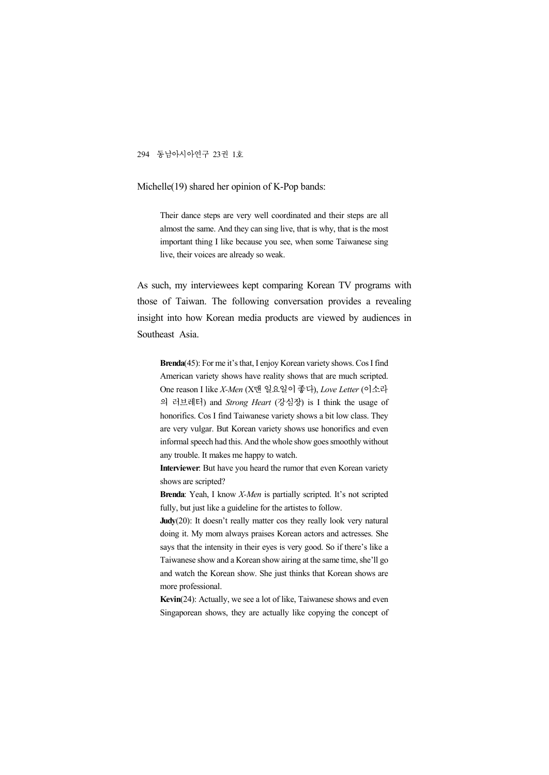#### Michelle(19) shared her opinion of K-Pop bands:

Their dance steps are very well coordinated and their steps are all almost the same. And they can sing live, that is why, that is the most important thing I like because you see, when some Taiwanese sing live, their voices are already so weak.

As such, my interviewees kept comparing Korean TV programs with those of Taiwan. The following conversation provides a revealing insight into how Korean media products are viewed by audiences in Southeast Asia.

**Brenda**(45): For me it's that, I enjoy Korean variety shows. Cos I find American variety shows have reality shows that are much scripted. One reason I like *X-Men* (X맨일요일이좋다), *Love Letter* (이소라 의 러브레터) and *Strong Heart* (강심장) is I think the usage of honorifics. Cos I find Taiwanese variety shows a bit low class. They are very vulgar. But Korean variety shows use honorifics and even informal speech had this. And the whole show goes smoothly without any trouble. It makes me happy to watch.

**Interviewer**: But have you heard the rumor that even Korean variety shows are scripted?

**Brenda**: Yeah, I know *X-Men* is partially scripted. It's not scripted fully, but just like a guideline for the artistes to follow.

**Judy**(20): It doesn't really matter cos they really look very natural doing it. My mom always praises Korean actors and actresses. She says that the intensity in their eyes is very good. So if there's like a Taiwanese show and a Korean show airing at the same time, she'll go and watch the Korean show. She just thinks that Korean shows are more professional.

**Kevin**(24): Actually, we see a lot of like, Taiwanese shows and even Singaporean shows, they are actually like copying the concept of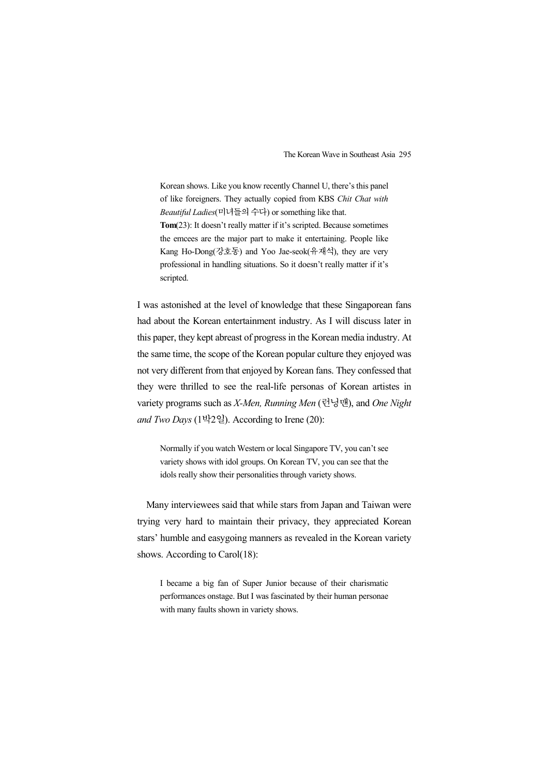Korean shows. Like you know recently Channel U, there's this panel of like foreigners. They actually copied from KBS *Chit Chat with Beautiful Ladies*(미녀들의수다) or something like that. **Tom**(23): It doesn't really matter if it's scripted. Because sometimes the emcees are the major part to make it entertaining. People like Kang Ho-Dong(강호동) and Yoo Jae-seok(유재석), they are very professional in handling situations. So it doesn't really matter if it's scripted.

I was astonished at the level of knowledge that these Singaporean fans had about the Korean entertainment industry. As I will discuss later in this paper, they kept abreast of progress in the Korean media industry. At the same time, the scope of the Korean popular culture they enjoyed was not very different from that enjoyed by Korean fans. They confessed that they were thrilled to see the real-life personas of Korean artistes in variety programs such as *X-Men, Running Men* (런닝맨), and *One Night and Two Days* (1박2일). According to Irene (20):

Normally if you watch Western or local Singapore TV, you can't see variety shows with idol groups. On Korean TV, you can see that the idols really show their personalities through variety shows.

Many interviewees said that while stars from Japan and Taiwan were trying very hard to maintain their privacy, they appreciated Korean stars' humble and easygoing manners as revealed in the Korean variety shows. According to Carol(18):

I became a big fan of Super Junior because of their charismatic performances onstage. But I was fascinated by their human personae with many faults shown in variety shows.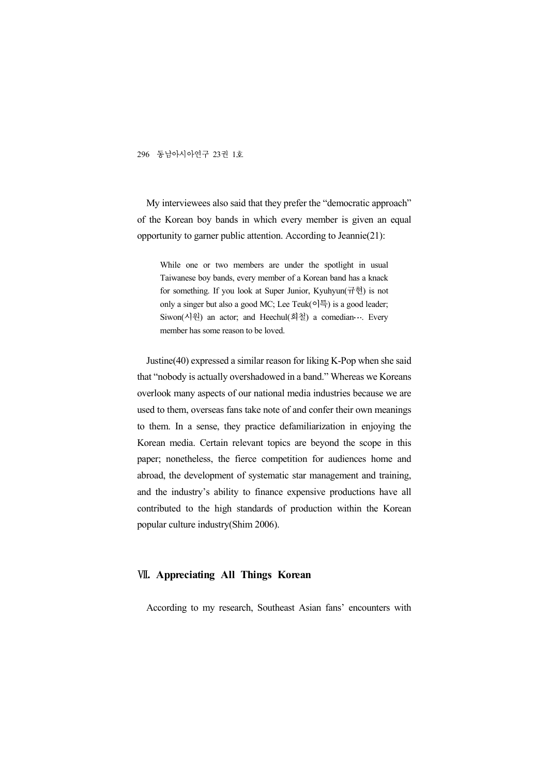My interviewees also said that they prefer the "democratic approach" of the Korean boy bands in which every member is given an equal opportunity to garner public attention. According to Jeannie(21):

While one or two members are under the spotlight in usual Taiwanese boy bands, every member of a Korean band has a knack for something. If you look at Super Junior, Kyuhyun(규현) is not only a singer but also a good MC; Lee Teuk(이특) is a good leader; Siwon(시원) an actor; and Heechul(희철) a comedian . Every member has some reason to be loved.

Justine(40) expressed a similar reason for liking K-Pop when she said that "nobody is actually overshadowed in a band." Whereas we Koreans overlook many aspects of our national media industries because we are used to them, overseas fans take note of and confer their own meanings to them. In a sense, they practice defamiliarization in enjoying the Korean media. Certain relevant topics are beyond the scope in this paper; nonetheless, the fierce competition for audiences home and abroad, the development of systematic star management and training, and the industry's ability to finance expensive productions have all contributed to the high standards of production within the Korean popular culture industry(Shim 2006).

## Ⅶ**. Appreciating All Things Korean**

According to my research, Southeast Asian fans' encounters with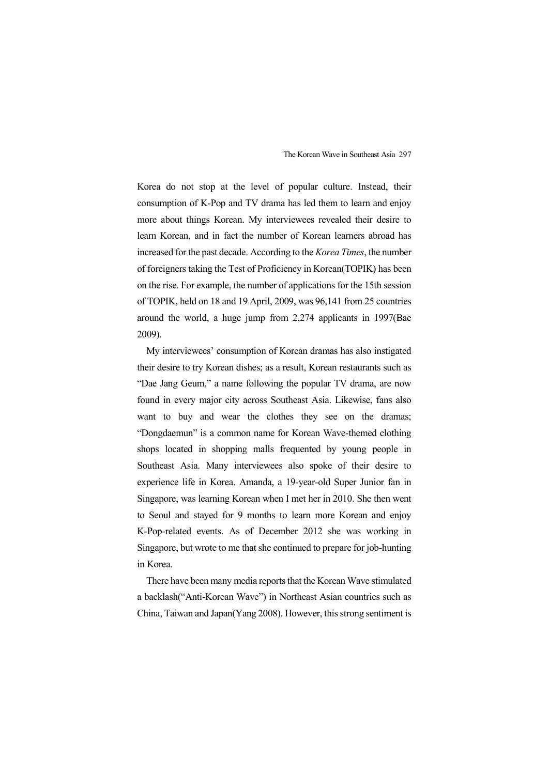Korea do not stop at the level of popular culture. Instead, their consumption of K-Pop and TV drama has led them to learn and enjoy more about things Korean. My interviewees revealed their desire to learn Korean, and in fact the number of Korean learners abroad has increased for the past decade. According to the *Korea Times*, the number of foreigners taking the Test of Proficiency in Korean(TOPIK) has been on the rise. For example, the number of applications for the 15th session of TOPIK, held on 18 and 19 April, 2009, was 96,141 from 25 countries around the world, a huge jump from 2,274 applicants in 1997(Bae 2009).

My interviewees' consumption of Korean dramas has also instigated their desire to try Korean dishes; as a result, Korean restaurants such as "Dae Jang Geum," a name following the popular TV drama, are now found in every major city across Southeast Asia. Likewise, fans also want to buy and wear the clothes they see on the dramas; "Dongdaemun" is a common name for Korean Wave-themed clothing shops located in shopping malls frequented by young people in Southeast Asia. Many interviewees also spoke of their desire to experience life in Korea. Amanda, a 19-year-old Super Junior fan in Singapore, was learning Korean when I met her in 2010. She then went to Seoul and stayed for 9 months to learn more Korean and enjoy K-Pop-related events. As of December 2012 she was working in Singapore, but wrote to me that she continued to prepare for job-hunting in Korea.

There have been many media reports that the Korean Wave stimulated a backlash("Anti-Korean Wave") in Northeast Asian countries such as China, Taiwan and Japan(Yang 2008). However, this strong sentiment is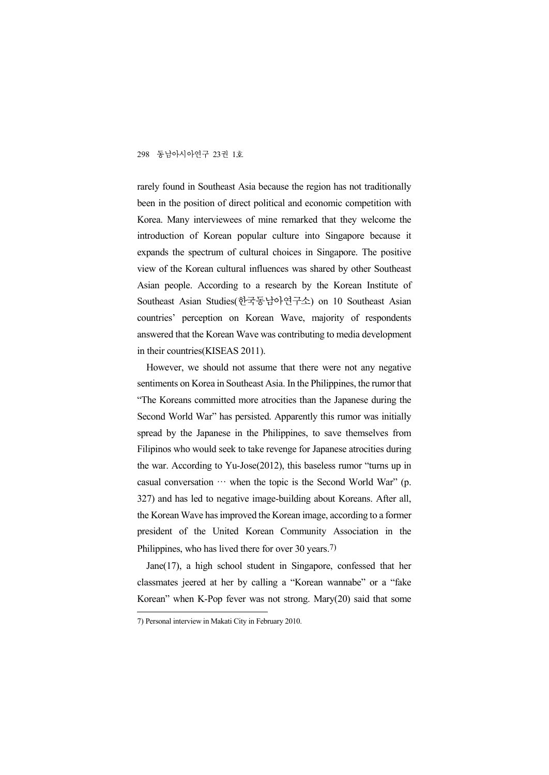rarely found in Southeast Asia because the region has not traditionally been in the position of direct political and economic competition with Korea. Many interviewees of mine remarked that they welcome the introduction of Korean popular culture into Singapore because it expands the spectrum of cultural choices in Singapore. The positive view of the Korean cultural influences was shared by other Southeast Asian people. According to a research by the Korean Institute of Southeast Asian Studies(한국동남아연구소) on 10 Southeast Asian countries' perception on Korean Wave, majority of respondents answered that the Korean Wave was contributing to media development in their countries(KISEAS 2011).

However, we should not assume that there were not any negative sentiments on Korea in Southeast Asia. In the Philippines, the rumor that "The Koreans committed more atrocities than the Japanese during the Second World War" has persisted. Apparently this rumor was initially spread by the Japanese in the Philippines, to save themselves from Filipinos who would seek to take revenge for Japanese atrocities during the war. According to Yu-Jose(2012), this baseless rumor "turns up in casual conversation  $\cdots$  when the topic is the Second World War" (p. 327) and has led to negative image-building about Koreans. After all, the Korean Wave has improved the Korean image, according to a former president of the United Korean Community Association in the Philippines, who has lived there for over 30 years.7)

Jane(17), a high school student in Singapore, confessed that her classmates jeered at her by calling a "Korean wannabe" or a "fake Korean" when K-Pop fever was not strong. Mary(20) said that some

<sup>7)</sup> Personal interview in Makati City in February 2010.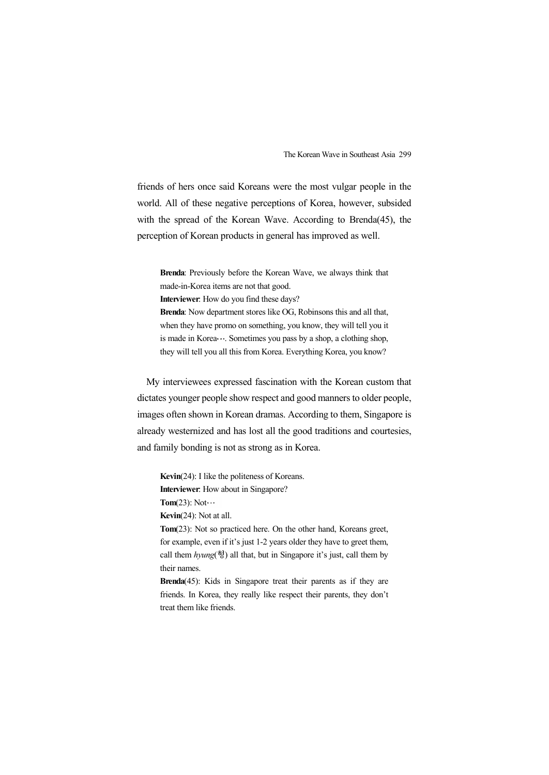friends of hers once said Koreans were the most vulgar people in the world. All of these negative perceptions of Korea, however, subsided with the spread of the Korean Wave. According to Brenda(45), the perception of Korean products in general has improved as well.

**Brenda**: Previously before the Korean Wave, we always think that made-in-Korea items are not that good.

**Interviewer**: How do you find these days?

**Brenda**: Now department stores like OG, Robinsons this and all that, when they have promo on something, you know, they will tell you it is made in Korea  $\cdots$ . Sometimes you pass by a shop, a clothing shop, they will tell you all this from Korea. Everything Korea, you know?

My interviewees expressed fascination with the Korean custom that dictates younger people show respect and good manners to older people, images often shown in Korean dramas. According to them, Singapore is already westernized and has lost all the good traditions and courtesies, and family bonding is not as strong as in Korea.

**Kevin**(24): I like the politeness of Koreans. **Interviewer**: How about in Singapore? **Tom** $(23)$ : Not

**Kevin**(24): Not at all.

**Tom**(23): Not so practiced here. On the other hand, Koreans greet, for example, even if it's just 1-2 years older they have to greet them, call them *hyung*(형) all that, but in Singapore it's just, call them by their names.

**Brenda**(45): Kids in Singapore treat their parents as if they are friends. In Korea, they really like respect their parents, they don't treat them like friends.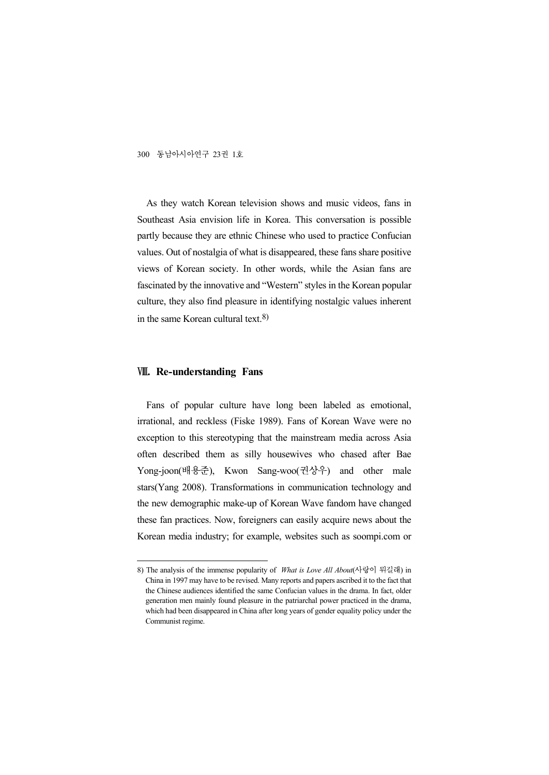As they watch Korean television shows and music videos, fans in Southeast Asia envision life in Korea. This conversation is possible partly because they are ethnic Chinese who used to practice Confucian values. Out of nostalgia of what is disappeared, these fans share positive views of Korean society. In other words, while the Asian fans are fascinated by the innovative and "Western" styles in the Korean popular culture, they also find pleasure in identifying nostalgic values inherent in the same Korean cultural text.8)

#### Ⅷ**. Re-understanding Fans**

Fans of popular culture have long been labeled as emotional, irrational, and reckless (Fiske 1989). Fans of Korean Wave were no exception to this stereotyping that the mainstream media across Asia often described them as silly housewives who chased after Bae Yong-joon(배용준), Kwon Sang-woo(권상우) and other male stars(Yang 2008). Transformations in communication technology and the new demographic make-up of Korean Wave fandom have changed these fan practices. Now, foreigners can easily acquire news about the Korean media industry; for example, websites such as soompi.com or

<sup>8)</sup> The analysis of the immense popularity of *What is Love All About*(사랑이 뭐길래) in China in 1997 may have to be revised. Many reports and papers ascribed it to the fact that the Chinese audiences identified the same Confucian values in the drama. In fact, older generation men mainly found pleasure in the patriarchal power practiced in the drama, which had been disappeared in China after long years of gender equality policy under the Communist regime.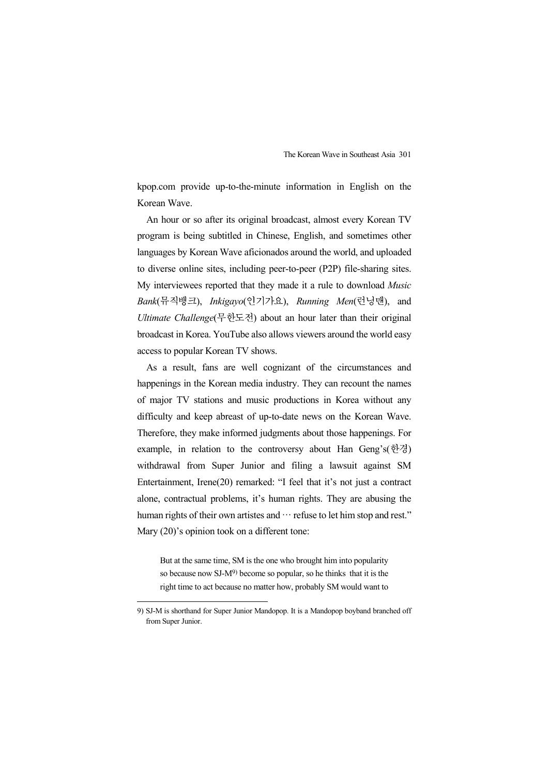kpop.com provide up-to-the-minute information in English on the Korean Wave.

An hour or so after its original broadcast, almost every Korean TV program is being subtitled in Chinese, English, and sometimes other languages by Korean Wave aficionados around the world, and uploaded to diverse online sites, including peer-to-peer (P2P) file-sharing sites. My interviewees reported that they made it a rule to download *Music Bank*(뮤직뱅크), *Inkigayo*(인기가요), *Running Men*(런닝맨), and *Ultimate Challenge*(무한도전) about an hour later than their original broadcast in Korea. YouTube also allows viewers around the world easy access to popular Korean TV shows.

As a result, fans are well cognizant of the circumstances and happenings in the Korean media industry. They can recount the names of major TV stations and music productions in Korea without any difficulty and keep abreast of up-to-date news on the Korean Wave. Therefore, they make informed judgments about those happenings. For example, in relation to the controversy about Han Geng's(한경) withdrawal from Super Junior and filing a lawsuit against SM Entertainment, Irene(20) remarked: "I feel that it's not just a contract alone, contractual problems, it's human rights. They are abusing the human rights of their own artistes and  $\cdots$  refuse to let him stop and rest." Mary (20)'s opinion took on a different tone:

But at the same time, SM is the one who brought him into popularity so because now SJ-M9) become so popular, so he thinks that it is the right time to act because no matter how, probably SM would want to

<sup>9)</sup> SJ-M is shorthand for Super Junior Mandopop. It is a Mandopop boyband branched off from Super Junior.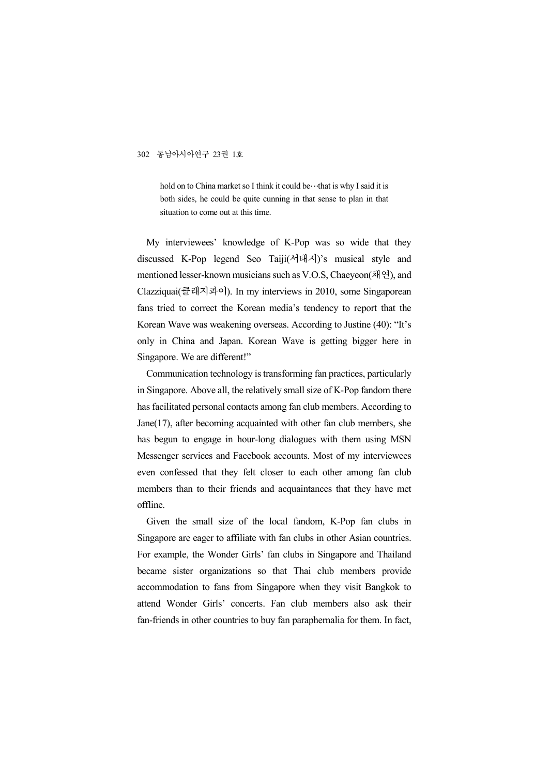hold on to China market so I think it could be  $\cdots$  that is why I said it is both sides, he could be quite cunning in that sense to plan in that situation to come out at this time.

My interviewees' knowledge of K-Pop was so wide that they discussed K-Pop legend Seo Taiji(서태지)'s musical style and mentioned lesser-known musicians such as V.O.S, Chaeyeon(채연), and Clazziquai(클래지콰이). In my interviews in 2010, some Singaporean fans tried to correct the Korean media's tendency to report that the Korean Wave was weakening overseas. According to Justine (40): "It's only in China and Japan. Korean Wave is getting bigger here in Singapore. We are different!"

Communication technology is transforming fan practices, particularly in Singapore. Above all, the relatively small size of K-Pop fandom there has facilitated personal contacts among fan club members. According to Jane(17), after becoming acquainted with other fan club members, she has begun to engage in hour-long dialogues with them using MSN Messenger services and Facebook accounts. Most of my interviewees even confessed that they felt closer to each other among fan club members than to their friends and acquaintances that they have met offline.

Given the small size of the local fandom, K-Pop fan clubs in Singapore are eager to affiliate with fan clubs in other Asian countries. For example, the Wonder Girls' fan clubs in Singapore and Thailand became sister organizations so that Thai club members provide accommodation to fans from Singapore when they visit Bangkok to attend Wonder Girls' concerts. Fan club members also ask their fan-friends in other countries to buy fan paraphernalia for them. In fact,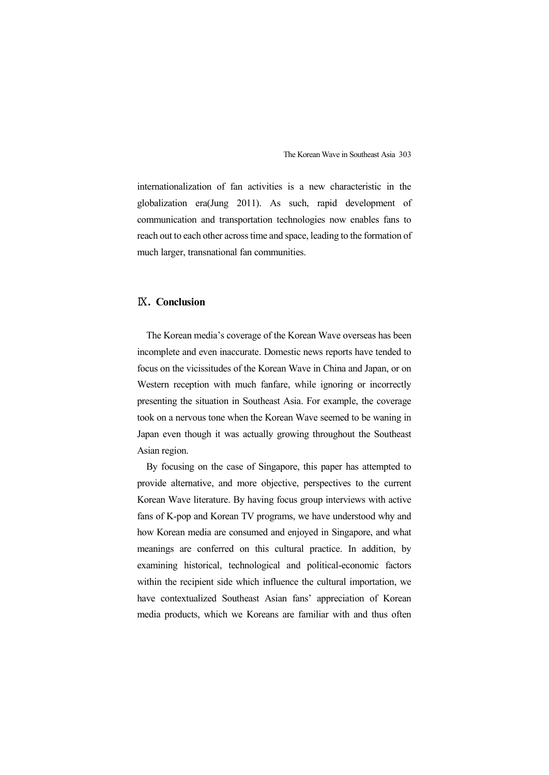internationalization of fan activities is a new characteristic in the globalization era(Jung 2011). As such, rapid development of communication and transportation technologies now enables fans to reach out to each other across time and space, leading to the formation of much larger, transnational fan communities.

## Ⅸ**. Conclusion**

The Korean media's coverage of the Korean Wave overseas has been incomplete and even inaccurate. Domestic news reports have tended to focus on the vicissitudes of the Korean Wave in China and Japan, or on Western reception with much fanfare, while ignoring or incorrectly presenting the situation in Southeast Asia. For example, the coverage took on a nervous tone when the Korean Wave seemed to be waning in Japan even though it was actually growing throughout the Southeast Asian region.

By focusing on the case of Singapore, this paper has attempted to provide alternative, and more objective, perspectives to the current Korean Wave literature. By having focus group interviews with active fans of K-pop and Korean TV programs, we have understood why and how Korean media are consumed and enjoyed in Singapore, and what meanings are conferred on this cultural practice. In addition, by examining historical, technological and political-economic factors within the recipient side which influence the cultural importation, we have contextualized Southeast Asian fans' appreciation of Korean media products, which we Koreans are familiar with and thus often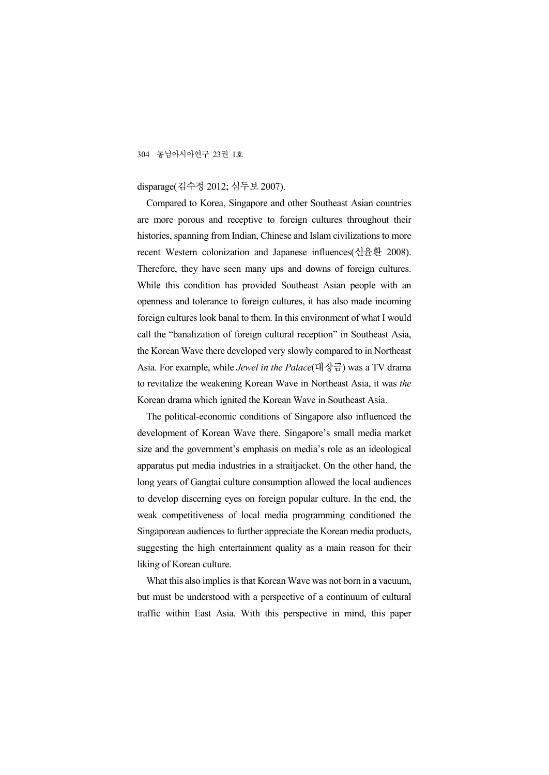#### disparage(김수정 2012; 심두보2007).

Compared to Korea, Singapore and other Southeast Asian countries are more porous and receptive to foreign cultures throughout their histories, spanning from Indian, Chinese and Islam civilizations to more recent Western colonization and Japanese influences(신윤환 2008). Therefore, they have seen many ups and downs of foreign cultures. While this condition has provided Southeast Asian people with an openness and tolerance to foreign cultures, it has also made incoming foreign cultures look banal to them. In this environment of what I would call the "banalization of foreign cultural reception" in Southeast Asia, the Korean Wave there developed very slowly compared to in Northeast Asia. For example, while *Jewel in the Palace*(대장금) was a TV drama to revitalize the weakening Korean Wave in Northeast Asia, it was *the*  Korean drama which ignited the Korean Wave in Southeast Asia.

The political-economic conditions of Singapore also influenced the development of Korean Wave there. Singapore's small media market size and the government's emphasis on media's role as an ideological apparatus put media industries in a straitjacket. On the other hand, the long years of Gangtai culture consumption allowed the local audiences to develop discerning eyes on foreign popular culture. In the end, the weak competitiveness of local media programming conditioned the Singaporean audiences to further appreciate the Korean media products, suggesting the high entertainment quality as a main reason for their liking of Korean culture.

What this also implies is that Korean Wave was not born in a vacuum, but must be understood with a perspective of a continuum of cultural traffic within East Asia. With this perspective in mind, this paper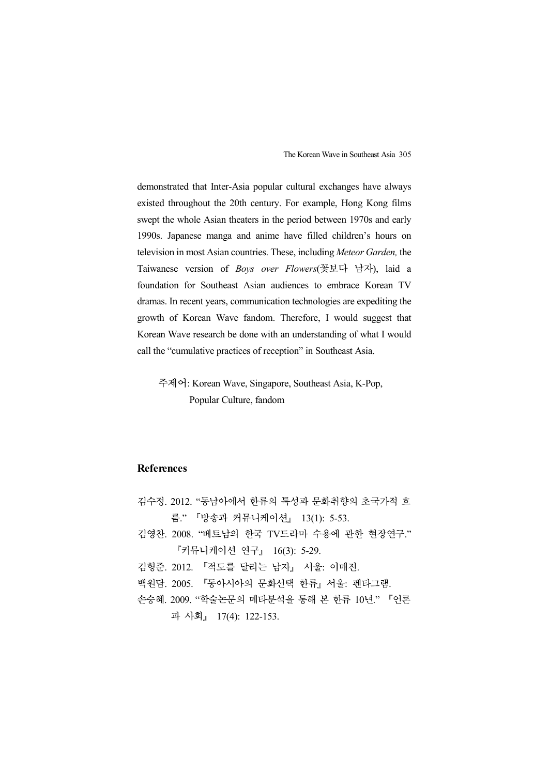demonstrated that Inter-Asia popular cultural exchanges have always existed throughout the 20th century. For example, Hong Kong films swept the whole Asian theaters in the period between 1970s and early 1990s. Japanese manga and anime have filled children's hours on television in most Asian countries. These, including *Meteor Garden,* the Taiwanese version of *Boys over Flowers*(꽃보다 남자), laid a foundation for Southeast Asian audiences to embrace Korean TV dramas. In recent years, communication technologies are expediting the growth of Korean Wave fandom. Therefore, I would suggest that Korean Wave research be done with an understanding of what I would call the "cumulative practices of reception" in Southeast Asia.

주제어: Korean Wave, Singapore, Southeast Asia, K-Pop, Popular Culture, fandom

## **References**

- 김수정. 2012. "동남아에서 한류의 특성과 문화취향의 초국가적 흐 름." 『방송과 커뮤니케이션』 13(1): 5-53. 김영찬. 2008. "베트남의 한국 TV드라마 수용에 관한 현장연구." 『커뮤니케이션 연구』 16(3): 5-29. 김형준. 2012. 『적도를 달리는 남자』 서울: 이매진. 백원담. 2005. 『동아시아의 문화선택 한류』서울: 펜타그램.
- 손승혜. 2009. "학술논문의 메타분석을 통해 본 한류 10년." 『언론 과 사회』 17(4): 122-153.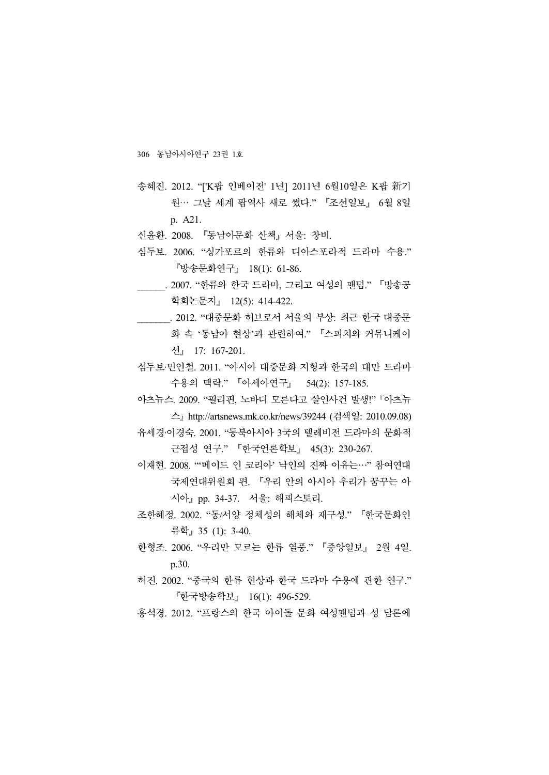- 송혜진. 2012. "['K팝 인베이전' 1년] 2011년 6월10일은 K팝 新기 원… 그날 세계 팝역사 새로 썼다." 『조선일보』 6월 8일 p. A21.
- 신윤환. 2008. 『동남아문화 산책』서울: 창비.
- 심두보. 2006. "싱가포르의 한류와 디아스포라적 드라마 수용." 『방송문화연구』 18(1): 61-86.
- \_\_\_\_\_\_. 2007. "한류와 한국 드라마, 그리고 여성의 팬덤." 『방송공 학회논문지』 12(5): 414-422.
- \_\_\_\_\_\_\_. 2012. "대중문화 허브로서 서울의 부상: 최근 한국 대중문 화 속 '동남아 현상'과 관련하여." 『스피치와 커뮤니케이 션』 17: 167-201.
- 심두보·민인철. 2011. "아시아 대중문화 지형과 한국의 대만 드라마
- 수용의 맥락." 『아세아연구』 54(2): 157-185.
- 아츠뉴스. 2009. "필리핀, 노바디 모른다고 살인사건 발생!" 아츠뉴
	- 스 http://artsnews.mk.co.kr/news/39244 (검색일: 2010.09.08)
- 유세경·이경숙. 2001. "동북아시아 3국의 텔레비전 드라마의 문화적 근접성 연구." 『한국언론학보』 45(3): 230-267.
- 이재현. 2008. "'메이드 인 코리아' 낙인의 진짜 이유는…" 참여연대 국제연대위원회 편. 『우리 안의 아시아 우리가 꿈꾸는 아 시아』pp. 34-37. 서울: 해피스토리.
- 조한혜정. 2002. "동/서양 정체성의 해체와 재구성." 『한국문화인 류학』35 (1): 3-40.
- 한형조. 2006. "우리만 모르는 한류 열풍." 『중앙일보』 2월 4일.<br>p.30.
- 허진. 2002. "중국의 한류 현상과 한국 드라마 수용에 관한 연구." 『한국방송학보』 16(1): 496-529.
- 홍석경. 2012. "프랑스의 한국 아이돌 문화 여성팬덤과 성 담론에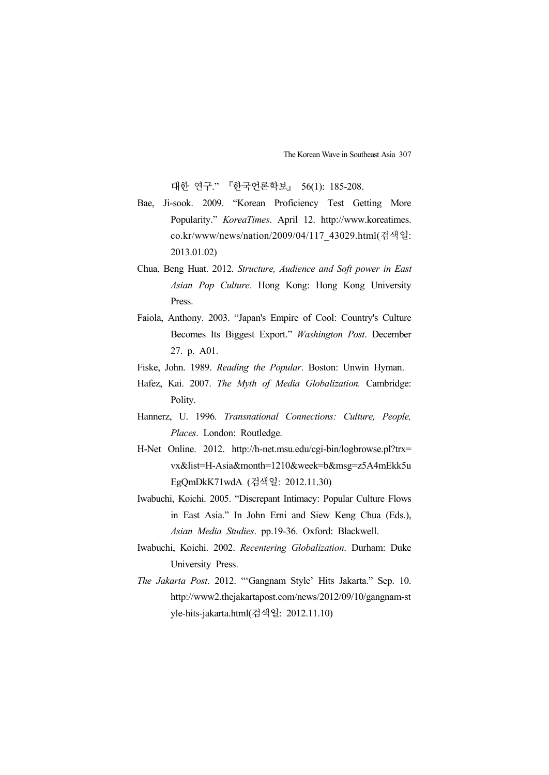대한 연구." 『한국언론학보』 56(1): 185-208.

- Bae, Ji-sook. 2009. "Korean Proficiency Test Getting More Popularity." *KoreaTimes*. April 12. http://www.koreatimes. co.kr/www/news/nation/2009/04/117\_43029.html(검색일: 2013.01.02)
- Chua, Beng Huat. 2012. *Structure, Audience and Soft power in East Asian Pop Culture*. Hong Kong: Hong Kong University Press.
- Faiola, Anthony. 2003. "Japan's Empire of Cool: Country's Culture Becomes Its Biggest Export." *Washington Post*. December 27. p. A01.
- Fiske, John. 1989. *Reading the Popular*. Boston: Unwin Hyman.
- Hafez, Kai. 2007. *The Myth of Media Globalization.* Cambridge: Polity.
- Hannerz, U. 1996. *Transnational Connections: Culture, People, Places*. London: Routledge.
- H-Net Online. 2012. http://h-net.msu.edu/cgi-bin/logbrowse.pl?trx= vx&list=H-Asia&month=1210&week=b&msg=z5A4mEkk5u EgQmDkK71wdA (검색일: 2012.11.30)
- Iwabuchi, Koichi. 2005. "Discrepant Intimacy: Popular Culture Flows in East Asia." In John Erni and Siew Keng Chua (Eds.), *Asian Media Studies*. pp.19-36. Oxford: Blackwell.
- Iwabuchi, Koichi. 2002. *Recentering Globalization*. Durham: Duke University Press.
- *The Jakarta Post*. 2012. "'Gangnam Style' Hits Jakarta." Sep. 10. http://www2.thejakartapost.com/news/2012/09/10/gangnam-st yle-hits-jakarta.html(검색일: 2012.11.10)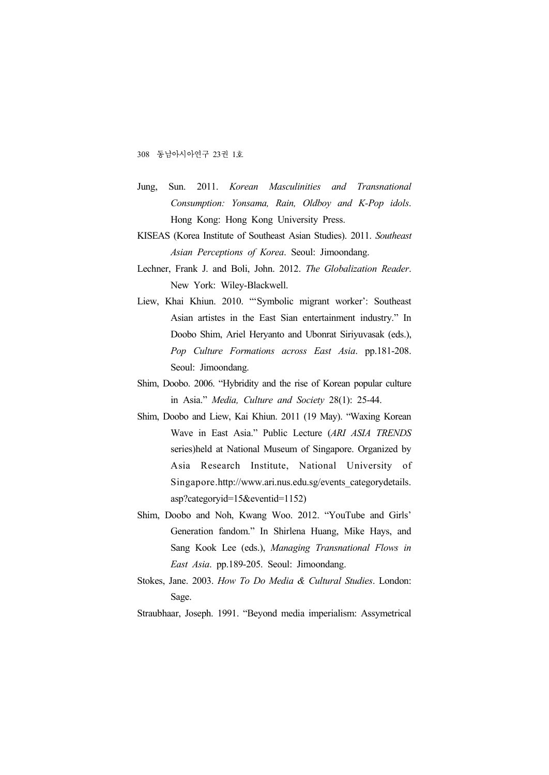- Jung, Sun. 2011. *Korean Masculinities and Transnational Consumption: Yonsama, Rain, Oldboy and K-Pop idols*. Hong Kong: Hong Kong University Press.
- KISEAS (Korea Institute of Southeast Asian Studies). 2011. *Southeast Asian Perceptions of Korea*. Seoul: Jimoondang.
- Lechner, Frank J. and Boli, John. 2012. *The Globalization Reader*. New York: Wiley-Blackwell.
- Liew, Khai Khiun. 2010. "'Symbolic migrant worker': Southeast Asian artistes in the East Sian entertainment industry." In Doobo Shim, Ariel Heryanto and Ubonrat Siriyuvasak (eds.), *Pop Culture Formations across East Asia*. pp.181-208. Seoul: Jimoondang.
- Shim, Doobo. 2006. "Hybridity and the rise of Korean popular culture in Asia." *Media, Culture and Society* 28(1): 25-44.
- Shim, Doobo and Liew, Kai Khiun. 2011 (19 May). "Waxing Korean Wave in East Asia." Public Lecture (*ARI ASIA TRENDS* series)held at National Museum of Singapore. Organized by Asia Research Institute, National University of Singapore.http://www.ari.nus.edu.sg/events\_categorydetails. asp?categoryid=15&eventid=1152)
- Shim, Doobo and Noh, Kwang Woo. 2012. "YouTube and Girls' Generation fandom." In Shirlena Huang, Mike Hays, and Sang Kook Lee (eds.), *Managing Transnational Flows in East Asia*. pp.189-205. Seoul: Jimoondang.
- Stokes, Jane. 2003. *How To Do Media & Cultural Studies*. London: Sage.
- Straubhaar, Joseph. 1991. "Beyond media imperialism: Assymetrical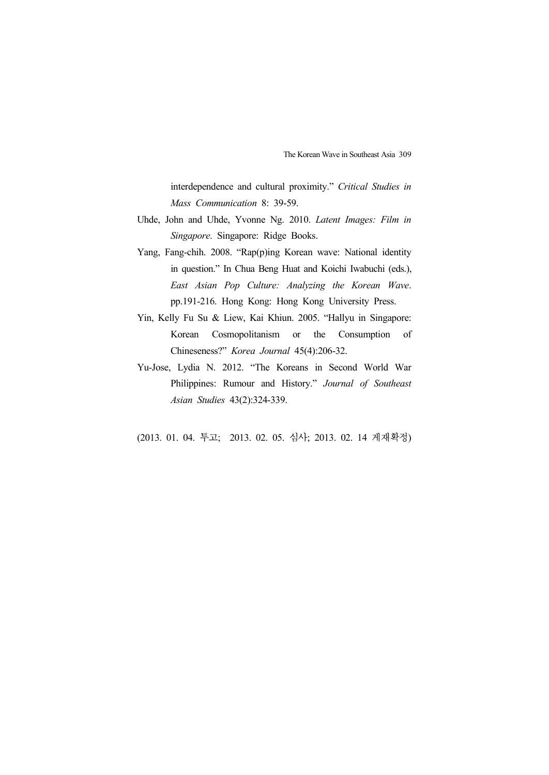interdependence and cultural proximity." *Critical Studies in Mass Communication* 8: 39-59.

- Uhde, John and Uhde, Yvonne Ng. 2010. *Latent Images: Film in Singapore*. Singapore: Ridge Books.
- Yang, Fang-chih. 2008. "Rap(p)ing Korean wave: National identity in question." In Chua Beng Huat and Koichi Iwabuchi (eds.), *East Asian Pop Culture: Analyzing the Korean Wave*. pp.191-216. Hong Kong: Hong Kong University Press.
- Yin, Kelly Fu Su & Liew, Kai Khiun. 2005. "Hallyu in Singapore: Korean Cosmopolitanism or the Consumption of Chineseness?" *Korea Journal* 45(4):206-32.
- Yu-Jose, Lydia N. 2012. "The Koreans in Second World War Philippines: Rumour and History." *Journal of Southeast Asian Studies* 43(2):324-339.
- (2013. 01. 04. 투고; 2013. 02. 05. 심사; 2013. 02. 14 게재확정)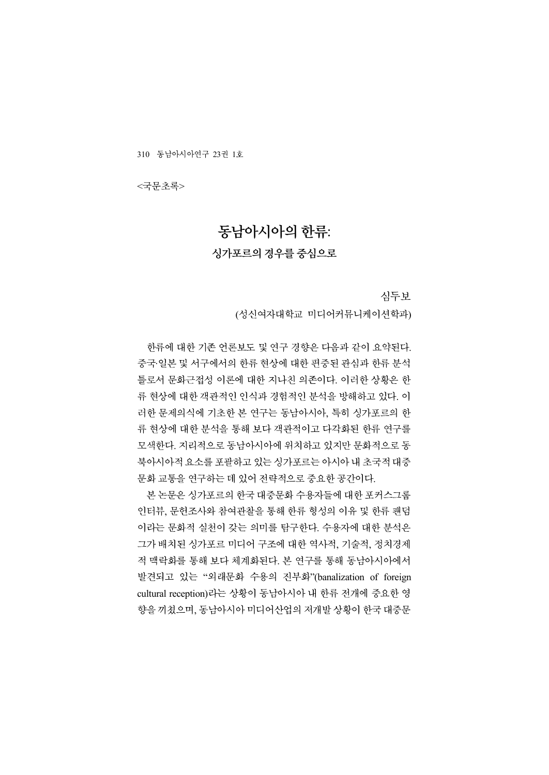<국문초록>

# 동남아시아의 한류: 싱가포르의 경우를 중심으로

심두보

(성신여자대학교 미디어커뮤니케이션학과)

한류에 대한 기존 언론보도 및 연구 경향은 다음과 같이 요약된다. 중국·일본 및 서구에서의 한류 현상에 대한 편중된 관심과 한류 분석 틀로서 문화근접성 이론에 대한 지나친 의존이다. 이러한 상황은 한 류 현상에 대한 객관적인 인식과 경험적인 분석을 방해하고 있다. 이 러한 문제의식에 기초한 본 연구는 동남아시아, 특히 싱가포르의 한 류 현상에 대한 분석을 통해 보다 객관적이고 다각화된 한류 연구를 모색한다. 지리적으로 동남아시아에 위치하고 있지만 문화적으로 동 북아시아적 요소를 포괄하고 있는 싱가포르는 아시아 내 초국적 대중 문화 교통을 연구하는 데 있어 전략적으로 중요한 공간이다.

본 논문은 싱가포르의 한국 대중문화 수용자들에 대한 포커스그룹 인터뷰, 문헌조사와 참여관찰을 통해 한류 형성의 이유 및 한류 팬덤 이라는 문화적 실천이 갖는 의미를 탐구한다. 수용자에 대한 분석은 그가 배치된 싱가포르 미디어 구조에 대한 역사적, 기술적, 정치경제 적 맥락화를 통해 보다 체계화된다. 본 연구를 통해 동남아시아에서 발견되고 있는 "외래문화 수용의 진부화"(banalization of foreign cultural reception)라는 상황이 동남아시아 내 한류 전개에 중요한 영 향을 끼쳤으며, 동남아시아 미디어산업의 저개발 상황이 한국 대중문